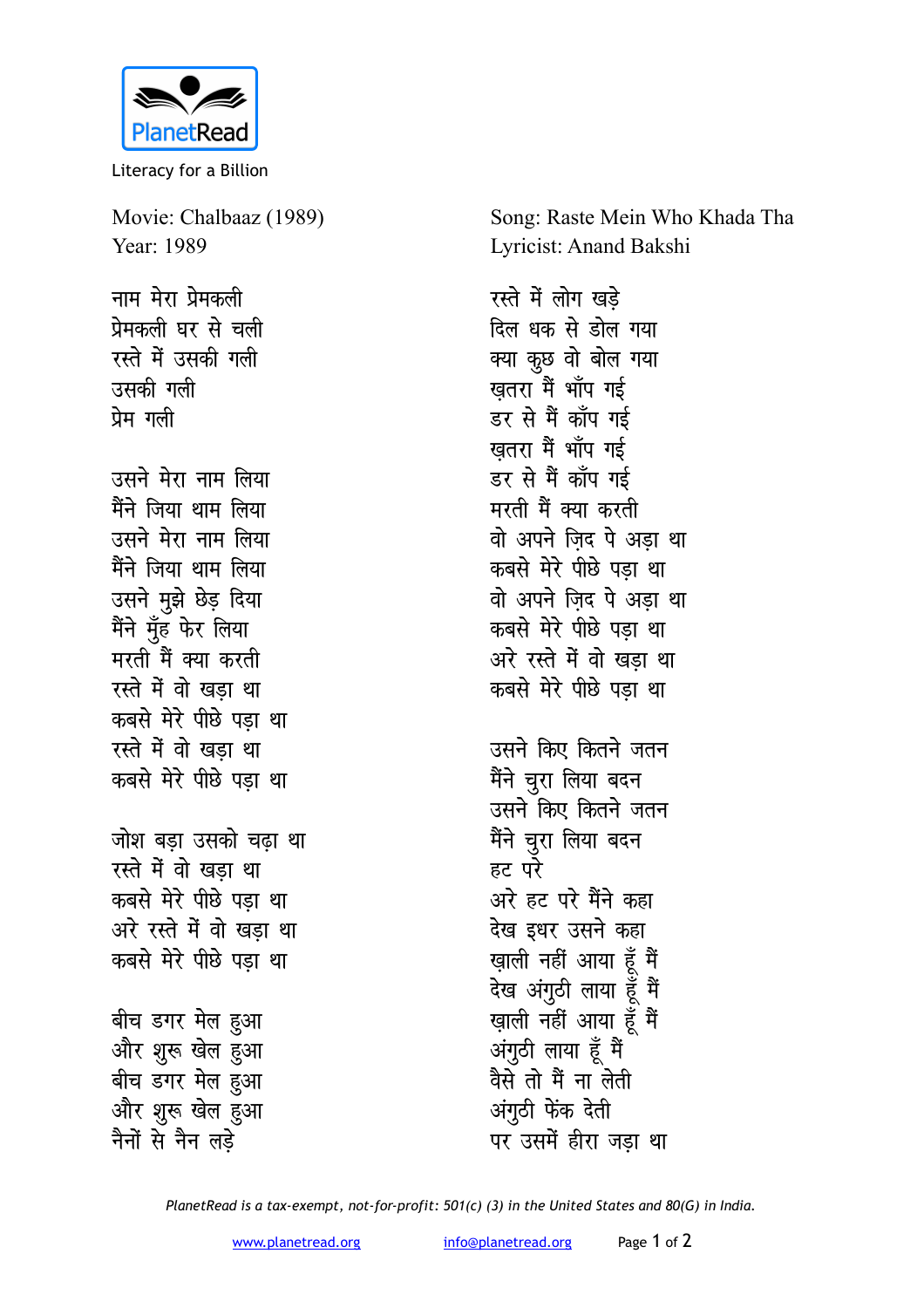

Literacy for a Billion

Movie: Chalbaaz (1989) Year: 1989

नाम मेरा प्रेमकली प्रेमकली घर से चली रस्ते में उसकी गली उसकी गली प्रेम गली

उसने मेरा नाम लिया मैंने जिया थाम लिया उसने मेरा नाम लिया मैंने जिया थाम लिया उसने मुझे छेड़ दिया मैंने मूँह फेर लिया मरती मैं क्या करती रस्ते में वो खड़ा था कबसे मेरे पीछे पड़ा था रस्ते में वो खडा था कबसे मेरे पीछे पड़ा था

जोश बडा उसको चढा था रस्ते में वो खड़ा था कबसे मेरे पीछे पडा था अरे रस्ते में वो खड़ा था कबसे मेरे पीछे पड़ा था

बीच डगर मेल हुआ और शुरू खेल हुआ बीच डगर मेल हुआ और शुरू खेल हुआ नैनों से नैन लडे

Song: Raste Mein Who Khada Tha Lyricist: Anand Bakshi

रस्ते में लोग खडे दिल धक से डोल गया क्या कुछ वो बोल गया खतरा मैं भाँप गई डर से मैं कॉप गई खतरा मैं भाँप गई डर से मैं कॉप गई मरती मैं क्या करती वो अपने जिंद पे अड़ा था कबसे मेरे पीछे पड़ा था वो अपने ज़िद पे अड़ा था कबसे मेरे पीछे पडा था अरे रस्ते में वो खड़ा था कबसे मेरे पीछे पड़ा था उसने किए कितने जतन मैंने चूरा लिया बदन उसने किए कितने जतन मैंने चूरा लिया बदन हट परे अरे हट परे मैंने कहा देख इधर उसने कहा खाली नहीं आया हूँ मैं देख अंगुठी लाया हूँ मैं ख़ाली नहीं आया हूँ मैं

अंगुठी लाया हूँ मैं वैसे तो मैं ना लेती अंगुठी फेंक देती पर उसमें हीरा जडा था

PlanetRead is a tax-exempt, not-for-profit: 501(c) (3) in the United States and 80(G) in India.